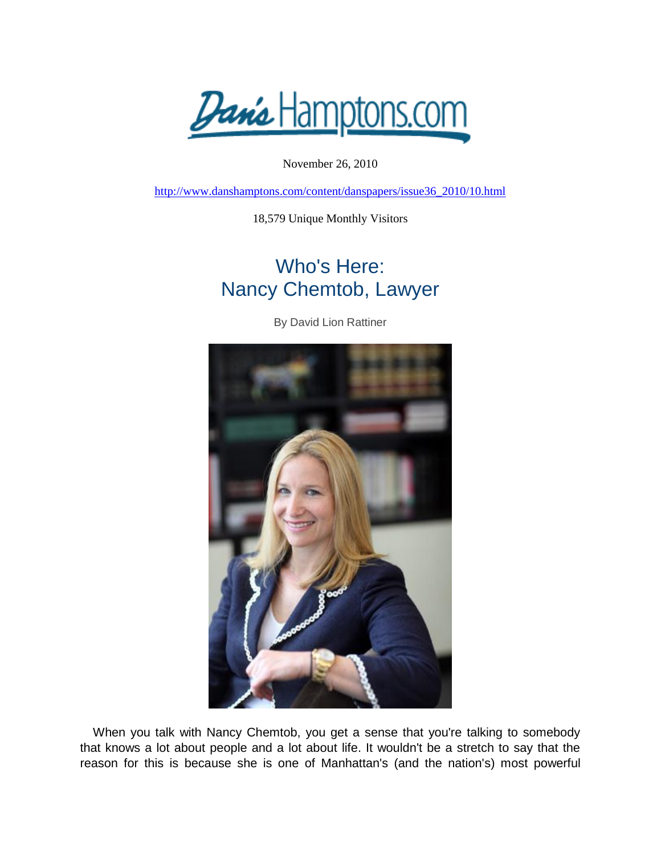*Danis* Hamptons.com

November 26, 2010

[http://www.danshamptons.com/content/danspapers/issue36\\_2010/10.html](http://www.danshamptons.com/content/danspapers/issue36_2010/10.html)

18,579 Unique Monthly Visitors

## Who's Here: Nancy Chemtob, Lawyer

By David Lion Rattiner



When you talk with Nancy Chemtob, you get a sense that you're talking to somebody that knows a lot about people and a lot about life. It wouldn't be a stretch to say that the reason for this is because she is one of Manhattan's (and the nation's) most powerful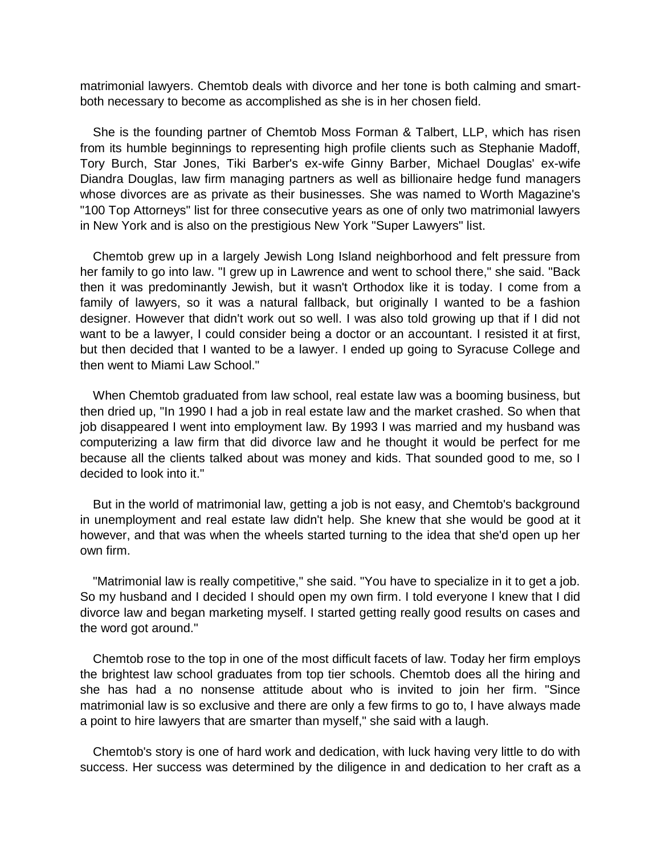matrimonial lawyers. Chemtob deals with divorce and her tone is both calming and smartboth necessary to become as accomplished as she is in her chosen field.

She is the founding partner of Chemtob Moss Forman & Talbert, LLP, which has risen from its humble beginnings to representing high profile clients such as Stephanie Madoff, Tory Burch, Star Jones, Tiki Barber's ex-wife Ginny Barber, Michael Douglas' ex-wife Diandra Douglas, law firm managing partners as well as billionaire hedge fund managers whose divorces are as private as their businesses. She was named to Worth Magazine's "100 Top Attorneys" list for three consecutive years as one of only two matrimonial lawyers in New York and is also on the prestigious New York "Super Lawyers" list.

Chemtob grew up in a largely Jewish Long Island neighborhood and felt pressure from her family to go into law. "I grew up in Lawrence and went to school there," she said. "Back then it was predominantly Jewish, but it wasn't Orthodox like it is today. I come from a family of lawyers, so it was a natural fallback, but originally I wanted to be a fashion designer. However that didn't work out so well. I was also told growing up that if I did not want to be a lawyer, I could consider being a doctor or an accountant. I resisted it at first, but then decided that I wanted to be a lawyer. I ended up going to Syracuse College and then went to Miami Law School."

When Chemtob graduated from law school, real estate law was a booming business, but then dried up, "In 1990 I had a job in real estate law and the market crashed. So when that job disappeared I went into employment law. By 1993 I was married and my husband was computerizing a law firm that did divorce law and he thought it would be perfect for me because all the clients talked about was money and kids. That sounded good to me, so I decided to look into it."

But in the world of matrimonial law, getting a job is not easy, and Chemtob's background in unemployment and real estate law didn't help. She knew that she would be good at it however, and that was when the wheels started turning to the idea that she'd open up her own firm.

"Matrimonial law is really competitive," she said. "You have to specialize in it to get a job. So my husband and I decided I should open my own firm. I told everyone I knew that I did divorce law and began marketing myself. I started getting really good results on cases and the word got around."

Chemtob rose to the top in one of the most difficult facets of law. Today her firm employs the brightest law school graduates from top tier schools. Chemtob does all the hiring and she has had a no nonsense attitude about who is invited to join her firm. "Since matrimonial law is so exclusive and there are only a few firms to go to, I have always made a point to hire lawyers that are smarter than myself," she said with a laugh.

Chemtob's story is one of hard work and dedication, with luck having very little to do with success. Her success was determined by the diligence in and dedication to her craft as a